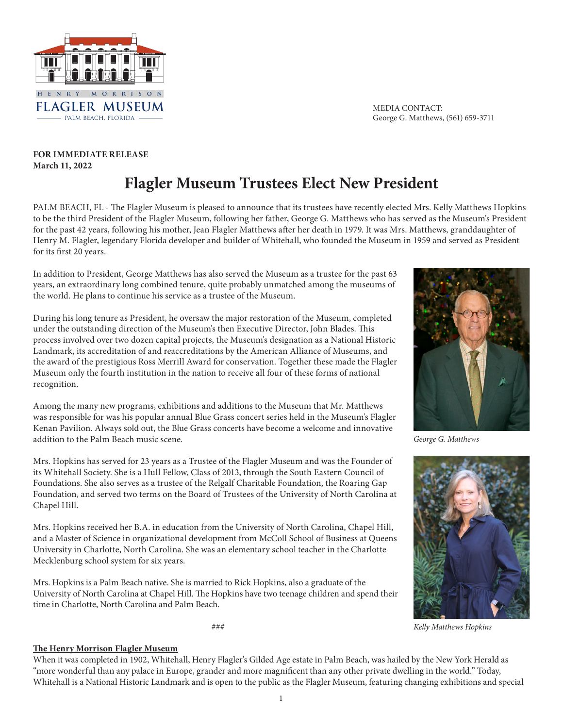

MEDIA CONTACT: George G. Matthews, (561) 659-3711

## **FOR IMMEDIATE RELEASE March 11, 2022 Flagler Museum Trustees Elect New President**

PALM BEACH, FL - The Flagler Museum is pleased to announce that its trustees have recently elected Mrs. Kelly Matthews Hopkins to be the third President of the Flagler Museum, following her father, George G. Matthews who has served as the Museum's President for the past 42 years, following his mother, Jean Flagler Matthews after her death in 1979. It was Mrs. Matthews, granddaughter of Henry M. Flagler, legendary Florida developer and builder of Whitehall, who founded the Museum in 1959 and served as President for its first 20 years.

In addition to President, George Matthews has also served the Museum as a trustee for the past 63 years, an extraordinary long combined tenure, quite probably unmatched among the museums of the world. He plans to continue his service as a trustee of the Museum.

During his long tenure as President, he oversaw the major restoration of the Museum, completed under the outstanding direction of the Museum's then Executive Director, John Blades. This process involved over two dozen capital projects, the Museum's designation as a National Historic Landmark, its accreditation of and reaccreditations by the American Alliance of Museums, and the award of the prestigious Ross Merrill Award for conservation. Together these made the Flagler Museum only the fourth institution in the nation to receive all four of these forms of national recognition.

Among the many new programs, exhibitions and additions to the Museum that Mr. Matthews was responsible for was his popular annual Blue Grass concert series held in the Museum's Flagler Kenan Pavilion. Always sold out, the Blue Grass concerts have become a welcome and innovative addition to the Palm Beach music scene.

Mrs. Hopkins has served for 23 years as a Trustee of the Flagler Museum and was the Founder of its Whitehall Society. She is a Hull Fellow, Class of 2013, through the South Eastern Council of Foundations. She also serves as a trustee of the Relgalf Charitable Foundation, the Roaring Gap Foundation, and served two terms on the Board of Trustees of the University of North Carolina at Chapel Hill.

Mrs. Hopkins received her B.A. in education from the University of North Carolina, Chapel Hill, and a Master of Science in organizational development from McColl School of Business at Queens University in Charlotte, North Carolina. She was an elementary school teacher in the Charlotte Mecklenburg school system for six years.

Mrs. Hopkins is a Palm Beach native. She is married to Rick Hopkins, also a graduate of the University of North Carolina at Chapel Hill. The Hopkins have two teenage children and spend their time in Charlotte, North Carolina and Palm Beach.

###



*George G. Matthews*



*Kelly Matthews Hopkins*

## **The Henry Morrison Flagler Museum**

When it was completed in 1902, Whitehall, Henry Flagler's Gilded Age estate in Palm Beach, was hailed by the New York Herald as "more wonderful than any palace in Europe, grander and more magnificent than any other private dwelling in the world." Today, Whitehall is a National Historic Landmark and is open to the public as the Flagler Museum, featuring changing exhibitions and special